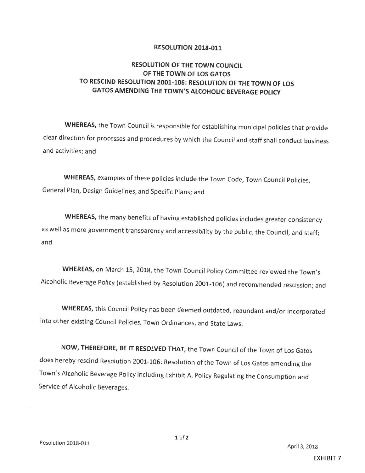## **RESOLUTION 2018-011**

## RESOLUTION OF THE TOWN COUNCIL OF THE TOWN OF LOS GATOS TO RESCIND RESOLUTION 2001-106: RESOLUTION OF THE TOWN OF LOS **GATOS AMENDING THE TOWN'S ALCOHOLIC BEVERAGE POLICY**

WHEREAS, the Town Council is responsible for establishing municipal policies that provide clear direction for processes and procedures by which the Council and staff shall conduct business and activities; and

WHEREAS, examples of these policies include the Town Code, Town Council Policies, General Plan, Design Guidelines, and Specific Plans; and

WHEREAS, the many benefits of having established policies includes greater consistency as well as more government transparency and accessibility by the public, the Council, and staff; and

WHEREAS, on March 15, 2018, the Town Council Policy Committee reviewed the Town's Alcoholic Beverage Policy ( established by Resolution 2001 -106) and recommended rescission; and

WHEREAS, this Council Policy has been deemed outdated, redundant and/or incorporated into other existing Council Policies, Town Ordinances, and State Laws.

NOW, THEREFORE, BE IT RESOLVED THAT, the Town Council of the Town of Los Gatos does hereby rescind Resolution 2001-106: Resolution of the Town of Los Gatos amending the Town's Alcoholic Beverage Policy including Exhibit A, Policy Regulating the Consumption and Service of Alcoholic Beverages.

 $1$  of  $2$